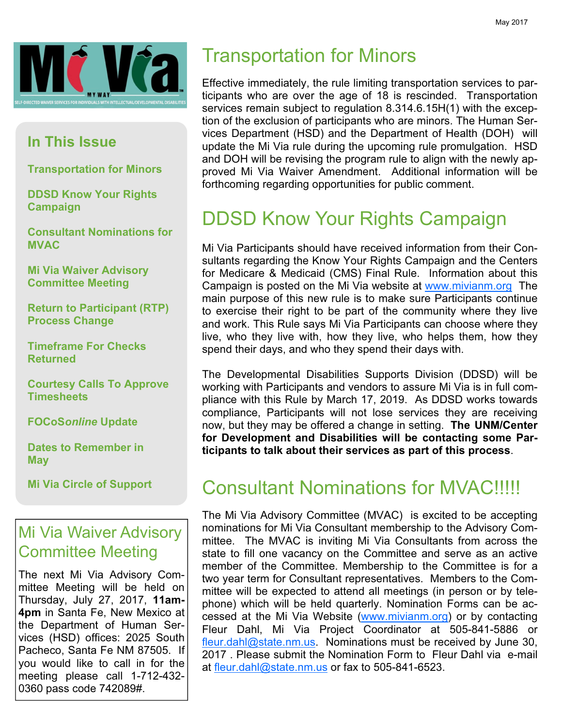

#### In This Issue

Transportation for Minors

DDSD Know Your Rights Campaign

Consultant Nominations for **MVAC** 

Mi Via Waiver Advisory Committee Meeting

Return to Participant (RTP) Process Change

Timeframe For Checks Returned

Courtesy Calls To Approve **Timesheets** 

FOCoSonline Update

Dates to Remember in **May** 

Mi Via Circle of Support

### Mi Via Waiver Advisory Committee Meeting

The next Mi Via Advisory Committee Meeting will be held on Thursday, July 27, 2017, 11am-4pm in Santa Fe, New Mexico at the Department of Human Services (HSD) offices: 2025 South Pacheco, Santa Fe NM 87505. If you would like to call in for the meeting please call 1-712-432- 0360 pass code 742089#.

# Transportation for Minors

Effective immediately, the rule limiting transportation services to participants who are over the age of 18 is rescinded. Transportation services remain subject to regulation 8.314.6.15H(1) with the exception of the exclusion of participants who are minors. The Human Services Department (HSD) and the Department of Health (DOH) will update the Mi Via rule during the upcoming rule promulgation. HSD and DOH will be revising the program rule to align with the newly approved Mi Via Waiver Amendment. Additional information will be forthcoming regarding opportunities for public comment.

# DDSD Know Your Rights Campaign

Mi Via Participants should have received information from their Consultants regarding the Know Your Rights Campaign and the Centers for Medicare & Medicaid (CMS) Final Rule. Information about this Campaign is posted on the Mi Via website at www.mivianm.org The main purpose of this new rule is to make sure Participants continue to exercise their right to be part of the community where they live and work. This Rule says Mi Via Participants can choose where they live, who they live with, how they live, who helps them, how they spend their days, and who they spend their days with.

The Developmental Disabilities Supports Division (DDSD) will be working with Participants and vendors to assure Mi Via is in full compliance with this Rule by March 17, 2019. As DDSD works towards compliance, Participants will not lose services they are receiving now, but they may be offered a change in setting. The UNM/Center for Development and Disabilities will be contacting some Participants to talk about their services as part of this process.

## Consultant Nominations for MVAC!!!!!

The Mi Via Advisory Committee (MVAC) is excited to be accepting nominations for Mi Via Consultant membership to the Advisory Committee. The MVAC is inviting Mi Via Consultants from across the state to fill one vacancy on the Committee and serve as an active member of the Committee. Membership to the Committee is for a two year term for Consultant representatives. Members to the Committee will be expected to attend all meetings (in person or by telephone) which will be held quarterly. Nomination Forms can be accessed at the Mi Via Website (www.mivianm.org) or by contacting Fleur Dahl, Mi Via Project Coordinator at 505-841-5886 or fleur.dahl@state.nm.us. Nominations must be received by June 30, 2017 . Please submit the Nomination Form to Fleur Dahl via e-mail at fleur.dahl@state.nm.us or fax to 505-841-6523.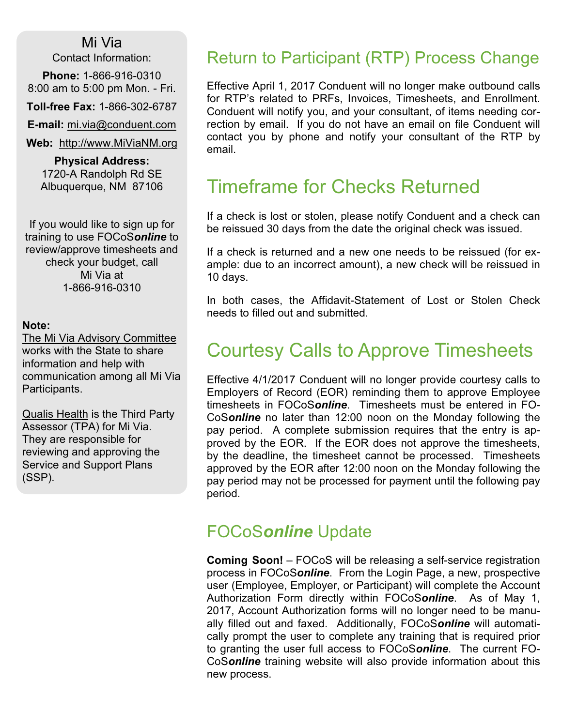#### Mi Via

Contact Information:

Phone: 1-866-916-0310 8:00 am to 5:00 pm Mon. - Fri.

Toll-free Fax: 1-866-302-6787

E-mail: mi.via@conduent.com

Web: http://www.MiViaNM.org

Physical Address: 1720-A Randolph Rd SE Albuquerque, NM 87106

If you would like to sign up for training to use FOCoSonline to review/approve timesheets and check your budget, call Mi Via at 1-866-916-0310

#### Note:

The Mi Via Advisory Committee works with the State to share information and help with communication among all Mi Via Participants.

Qualis Health is the Third Party Assessor (TPA) for Mi Via. They are responsible for reviewing and approving the Service and Support Plans (SSP).

#### Return to Participant (RTP) Process Change

Effective April 1, 2017 Conduent will no longer make outbound calls for RTP's related to PRFs, Invoices, Timesheets, and Enrollment. Conduent will notify you, and your consultant, of items needing correction by email. If you do not have an email on file Conduent will contact you by phone and notify your consultant of the RTP by email.

## Timeframe for Checks Returned

If a check is lost or stolen, please notify Conduent and a check can be reissued 30 days from the date the original check was issued.

If a check is returned and a new one needs to be reissued (for example: due to an incorrect amount), a new check will be reissued in 10 days.

In both cases, the Affidavit-Statement of Lost or Stolen Check needs to filled out and submitted.

## Courtesy Calls to Approve Timesheets

Effective 4/1/2017 Conduent will no longer provide courtesy calls to Employers of Record (EOR) reminding them to approve Employee timesheets in FOCoSonline. Timesheets must be entered in FO-CoSonline no later than 12:00 noon on the Monday following the pay period. A complete submission requires that the entry is approved by the EOR. If the EOR does not approve the timesheets, by the deadline, the timesheet cannot be processed. Timesheets approved by the EOR after 12:00 noon on the Monday following the pay period may not be processed for payment until the following pay period.

#### FOCoSonline Update

Coming Soon! – FOCoS will be releasing a self-service registration process in FOCoSonline. From the Login Page, a new, prospective user (Employee, Employer, or Participant) will complete the Account Authorization Form directly within FOCoSonline. As of May 1, 2017, Account Authorization forms will no longer need to be manually filled out and faxed. Additionally, FOCoSonline will automatically prompt the user to complete any training that is required prior to granting the user full access to FOCoSonline. The current FO-CoSonline training website will also provide information about this new process.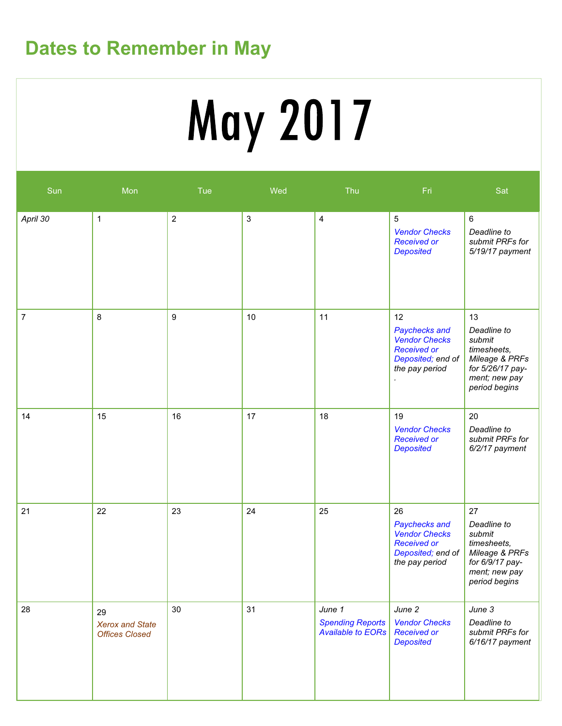# Dates to Remember in May

# May 2017

| Sun            | Mon                                                   | Tue              | Wed                       | Thu                                                           | Fri                                                                                                      | Sat                                                                                                                |
|----------------|-------------------------------------------------------|------------------|---------------------------|---------------------------------------------------------------|----------------------------------------------------------------------------------------------------------|--------------------------------------------------------------------------------------------------------------------|
| April 30       | $\mathbf 1$                                           | $\sqrt{2}$       | $\ensuremath{\mathsf{3}}$ | $\overline{4}$                                                | 5<br><b>Vendor Checks</b><br><b>Received or</b><br><b>Deposited</b>                                      | $\,6\,$<br>Deadline to<br>submit PRFs for<br>5/19/17 payment                                                       |
| $\overline{7}$ | 8                                                     | $\boldsymbol{9}$ | 10                        | 11                                                            | 12<br>Paychecks and<br><b>Vendor Checks</b><br><b>Received or</b><br>Deposited; end of<br>the pay period | 13<br>Deadline to<br>submit<br>timesheets,<br>Mileage & PRFs<br>for 5/26/17 pay-<br>ment; new pay<br>period begins |
| 14             | 15                                                    | 16               | 17                        | 18                                                            | 19<br><b>Vendor Checks</b><br><b>Received or</b><br><b>Deposited</b>                                     | 20<br>Deadline to<br>submit PRFs for<br>6/2/17 payment                                                             |
| 21             | 22                                                    | 23               | 24                        | 25                                                            | 26<br>Paychecks and<br><b>Vendor Checks</b><br><b>Received or</b><br>Deposited; end of<br>the pay period | 27<br>Deadline to<br>submit<br>timesheets,<br>Mileage & PRFs<br>for 6/9/17 pay-<br>ment; new pay<br>period begins  |
| 28             | 29<br><b>Xerox and State</b><br><b>Offices Closed</b> | 30               | 31                        | June 1<br><b>Spending Reports</b><br><b>Available to EORs</b> | June 2<br><b>Vendor Checks</b><br><b>Received or</b><br><b>Deposited</b>                                 | June 3<br>Deadline to<br>submit PRFs for<br>$6/16/17$ payment                                                      |